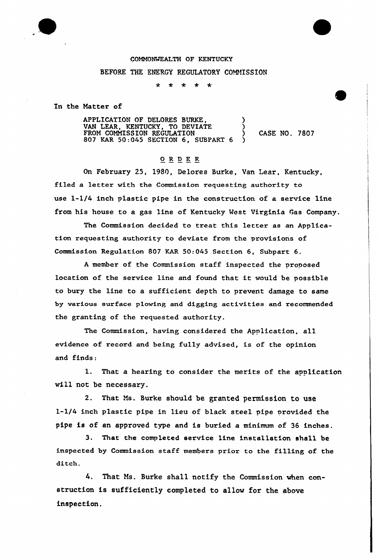## COMMONWEALTH OF KENTUCKY

## BEFORE THE ENERGY REGULATORY COMMISSION

 $\ddot{\mathbf{r}}$  $\star$  $\star$ ∗  $\star$ 

In the Matter of

APPLICATION OF DELORES BURKE, VAN LEAR, KENTUCKY, TO DEVIATE ) FROM COMMISSION REGULATION (2008) CASE NO. 7807 807 KAR 50:045 SECTION 6, SUBPART 6 )

## $\underline{O} \underline{R} \underline{D} \underline{E} \underline{R}$

On February 25, 1980, Delores Burke, Van Lear, Kentucky, filed a letter with the Commission requesting authority to use 1-1/4 inch plastic pipe in the construction of a service line from his house to a gas line of Kentucky West Virginia Gas Company.

The Commission decided to treat this letter as an Application requesting authority to deviate from the provisions of Commission Regulation 807 KAR 50:045 Section 6, Subpart 6.

<sup>A</sup> member of the Commission staff inspected the proposed location of the service line and found that it would be possible to bury the line to a sufficient depth to prevent damage to same by various surface plowing and digging activities and recommended the granting of the requested authority.

The Commission, having considered the Application, all evidence of record and being fully advised, is of the opinion and finds:

1. That a hearing to consider the merits of the application will not be necessary.

2. That Ms. Burke should be granted permission to use l-l/4 inch plastic pipe in lieu of black steel pipe provided the pipe is of an approved type and is buried a minimum of 36 inches.

3. That the completed service line installation shall be inspected by Commission staff members prior to the filling of the ditch.

4. That Ms. Burke shall notify the Commission when construction is sufficiently completed to allow for the above inspection.